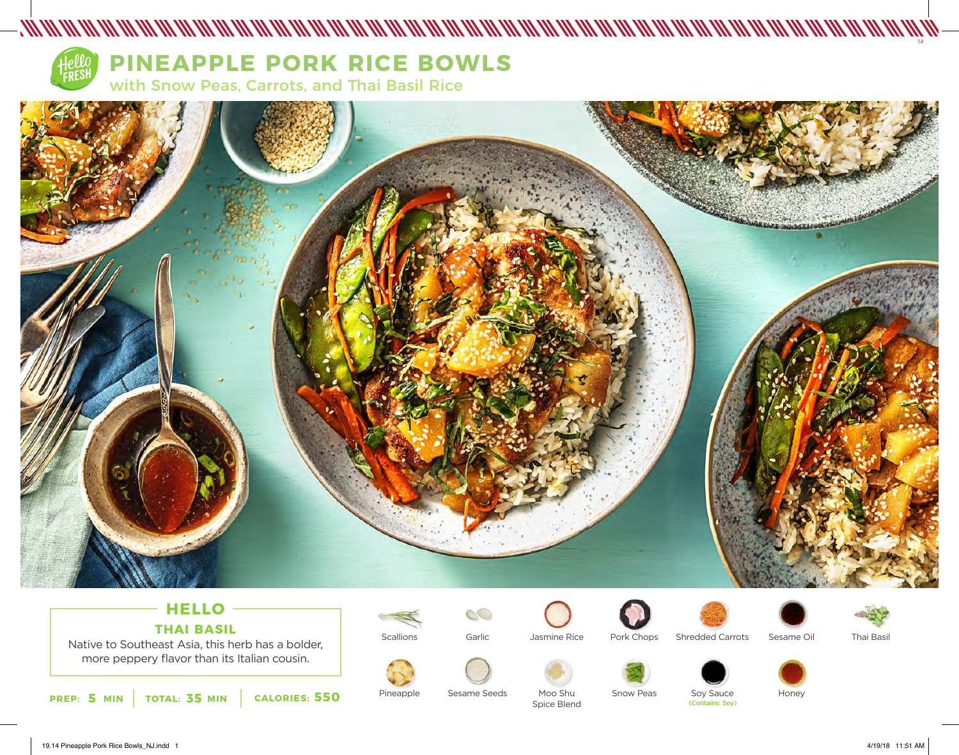

# **PINEAPPLE PORK RICE BOWLS**

with Snow Peas, Carrots, and Thai Basil Rice



# **HELLO THAI BASIL**

Native to Southeast Asia, this herb has a bolder, more peppery flavor than its Italian cousin.





Pineapple

 $\circledcirc$ Garlic



Spice Blend

Pork Chops





Thai Basil

Sesame Seeds

Moo Shu

Snow Peas

Soy Sauce<br>(Contains: Soy)

Honey

19.14 Pineapple Pork Rice Bowls\_NJ.indd 1 4/19/18 11:51 AM

14